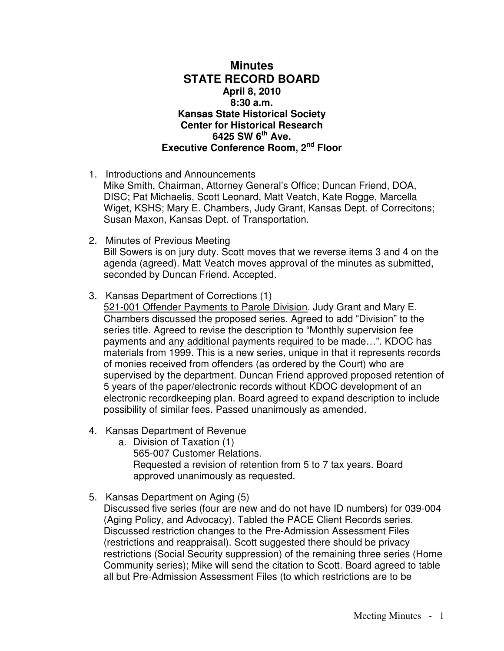## **Minutes STATE RECORD BOARD April 8, 2010 8:30 a.m. Kansas State Historical Society Center for Historical Research 6425 SW 6th Ave. Executive Conference Room, 2nd Floor**

- 1. Introductions and Announcements Mike Smith, Chairman, Attorney General's Office; Duncan Friend, DOA, DISC; Pat Michaelis, Scott Leonard, Matt Veatch, Kate Rogge, Marcella Wiget, KSHS; Mary E. Chambers, Judy Grant, Kansas Dept. of Correcitons; Susan Maxon, Kansas Dept. of Transportation.
- 2. Minutes of Previous Meeting Bill Sowers is on jury duty. Scott moves that we reverse items 3 and 4 on the agenda (agreed). Matt Veatch moves approval of the minutes as submitted, seconded by Duncan Friend. Accepted.
- 3. Kansas Department of Corrections (1)

521-001 Offender Payments to Parole Division. Judy Grant and Mary E. Chambers discussed the proposed series. Agreed to add "Division" to the series title. Agreed to revise the description to "Monthly supervision fee payments and any additional payments required to be made…". KDOC has materials from 1999. This is a new series, unique in that it represents records of monies received from offenders (as ordered by the Court) who are supervised by the department. Duncan Friend approved proposed retention of 5 years of the paper/electronic records without KDOC development of an electronic recordkeeping plan. Board agreed to expand description to include possibility of similar fees. Passed unanimously as amended.

- 4. Kansas Department of Revenue
	- a. Division of Taxation (1) 565-007 Customer Relations. Requested a revision of retention from 5 to 7 tax years. Board approved unanimously as requested.
- 5. Kansas Department on Aging (5) Discussed five series (four are new and do not have ID numbers) for 039-004 (Aging Policy, and Advocacy). Tabled the PACE Client Records series. Discussed restriction changes to the Pre-Admission Assessment Files (restrictions and reappraisal). Scott suggested there should be privacy restrictions (Social Security suppression) of the remaining three series (Home Community series); Mike will send the citation to Scott. Board agreed to table all but Pre-Admission Assessment Files (to which restrictions are to be